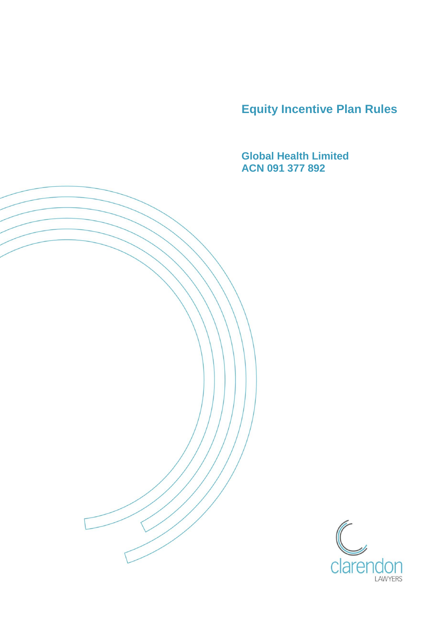**Equity Incentive Plan Rules**

**Global Health Limited ACN 091 377 892**

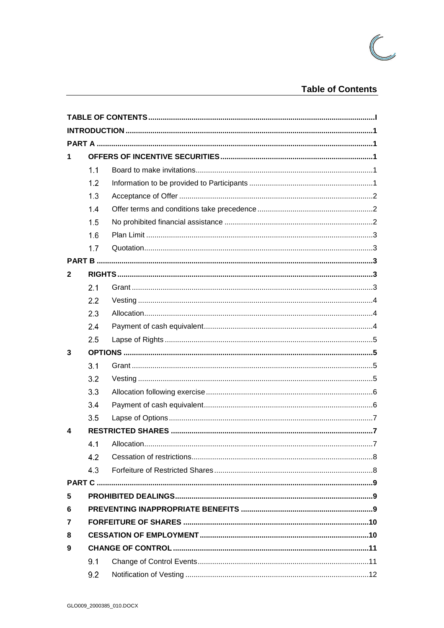

# **Table of Contents**

<span id="page-1-0"></span>

| 1            |     |                   |  |  |  |
|--------------|-----|-------------------|--|--|--|
|              | 1.1 |                   |  |  |  |
|              | 1.2 |                   |  |  |  |
|              | 1.3 |                   |  |  |  |
|              | 1.4 |                   |  |  |  |
|              | 1.5 |                   |  |  |  |
|              | 1.6 |                   |  |  |  |
|              | 1.7 |                   |  |  |  |
|              |     |                   |  |  |  |
| $\mathbf{2}$ |     |                   |  |  |  |
|              | 2.1 |                   |  |  |  |
|              | 2.2 |                   |  |  |  |
|              | 2.3 |                   |  |  |  |
|              | 2.4 |                   |  |  |  |
|              | 2.5 |                   |  |  |  |
| 3            |     |                   |  |  |  |
|              | 3.1 |                   |  |  |  |
|              | 3.2 |                   |  |  |  |
|              | 3.3 |                   |  |  |  |
|              | 3.4 |                   |  |  |  |
|              | 3.5 |                   |  |  |  |
| 4            |     |                   |  |  |  |
|              | 4.1 | Allocation<br>. 7 |  |  |  |
|              | 4.2 |                   |  |  |  |
|              | 4.3 |                   |  |  |  |
|              |     |                   |  |  |  |
| 5            |     |                   |  |  |  |
| 6            |     |                   |  |  |  |
| 7            |     |                   |  |  |  |
| 8            |     |                   |  |  |  |
| 9            |     |                   |  |  |  |
|              | 9.1 |                   |  |  |  |
|              | 9.2 |                   |  |  |  |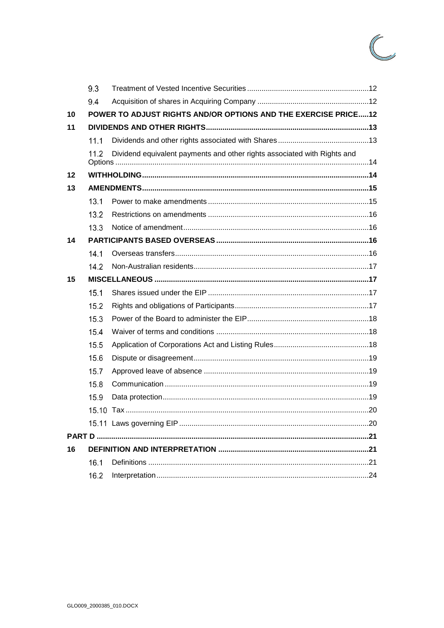

|    | 9.3  |                                                                          |  |  |
|----|------|--------------------------------------------------------------------------|--|--|
|    | 9.4  |                                                                          |  |  |
| 10 |      | POWER TO ADJUST RIGHTS AND/OR OPTIONS AND THE EXERCISE PRICE12           |  |  |
| 11 |      |                                                                          |  |  |
|    | 11.1 |                                                                          |  |  |
|    | 11.2 | Dividend equivalent payments and other rights associated with Rights and |  |  |
| 12 |      |                                                                          |  |  |
| 13 |      |                                                                          |  |  |
|    | 13.1 |                                                                          |  |  |
|    | 13.2 |                                                                          |  |  |
|    | 13.3 |                                                                          |  |  |
| 14 |      |                                                                          |  |  |
|    | 14.1 |                                                                          |  |  |
|    | 14.2 |                                                                          |  |  |
| 15 |      |                                                                          |  |  |
|    | 15.1 |                                                                          |  |  |
|    | 15.2 |                                                                          |  |  |
|    | 15.3 |                                                                          |  |  |
|    | 15.4 |                                                                          |  |  |
|    | 15.5 |                                                                          |  |  |
|    | 15.6 |                                                                          |  |  |
|    | 15.7 |                                                                          |  |  |
|    | 15.8 |                                                                          |  |  |
|    | 15.9 |                                                                          |  |  |
|    |      |                                                                          |  |  |
|    |      |                                                                          |  |  |
|    |      |                                                                          |  |  |
| 16 |      |                                                                          |  |  |
|    | 16.1 |                                                                          |  |  |
|    | 16.2 |                                                                          |  |  |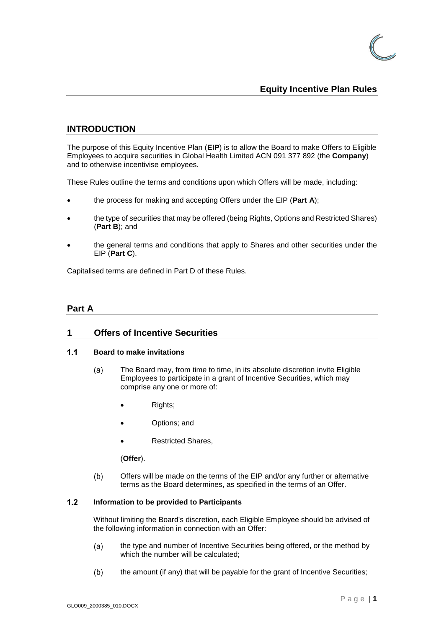

## **Equity Incentive Plan Rules**

# <span id="page-3-0"></span>**INTRODUCTION**

The purpose of this Equity Incentive Plan (**EIP**) is to allow the Board to make Offers to Eligible Employees to acquire securities in Global Health Limited ACN 091 377 892 (the **Company**) and to otherwise incentivise employees.

These Rules outline the terms and conditions upon which Offers will be made, including:

- the process for making and accepting Offers under the EIP (**Part A**);
- the type of securities that may be offered (being Rights, Options and Restricted Shares) (**Part B**); and
- the general terms and conditions that apply to Shares and other securities under the EIP (**Part C**).

Capitalised terms are defined in Part D of these Rules.

### <span id="page-3-1"></span>**Part A**

### <span id="page-3-2"></span>**1 Offers of Incentive Securities**

#### <span id="page-3-3"></span> $1.1$ **Board to make invitations**

- $(a)$ The Board may, from time to time, in its absolute discretion invite Eligible Employees to participate in a grant of Incentive Securities, which may comprise any one or more of:
	- Rights;
	- Options; and
	- Restricted Shares,

(**Offer**).

 $(b)$ Offers will be made on the terms of the EIP and/or any further or alternative terms as the Board determines, as specified in the terms of an Offer.

#### <span id="page-3-4"></span> $1.2$ **Information to be provided to Participants**

Without limiting the Board's discretion, each Eligible Employee should be advised of the following information in connection with an Offer:

- the type and number of Incentive Securities being offered, or the method by  $(a)$ which the number will be calculated;
- $(b)$ the amount (if any) that will be payable for the grant of Incentive Securities;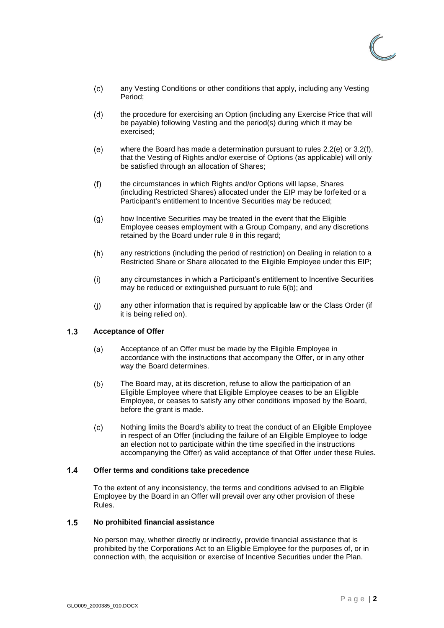

- $(c)$ any Vesting Conditions or other conditions that apply, including any Vesting Period;
- the procedure for exercising an Option (including any Exercise Price that will  $(d)$ be payable) following Vesting and the period(s) during which it may be exercised;
- $(e)$ where the Board has made a determination pursuant to rules [2.2\(e\)](#page-6-3) or [3.2\(f\),](#page-8-2) that the Vesting of Rights and/or exercise of Options (as applicable) will only be satisfied through an allocation of Shares;
- $(f)$ the circumstances in which Rights and/or Options will lapse, Shares (including Restricted Shares) allocated under the EIP may be forfeited or a Participant's entitlement to Incentive Securities may be reduced;
- how Incentive Securities may be treated in the event that the Eligible  $(q)$ Employee ceases employment with a Group Company, and any discretions retained by the Board under rule [8](#page-12-1) in this regard;
- any restrictions (including the period of restriction) on Dealing in relation to a  $(h)$ Restricted Share or Share allocated to the Eligible Employee under this EIP;
- any circumstances in which a Participant's entitlement to Incentive Securities  $(i)$ may be reduced or extinguished pursuant to rule [6\(b\);](#page-12-2) and
- $(i)$ any other information that is required by applicable law or the Class Order (if it is being relied on).

#### <span id="page-4-3"></span><span id="page-4-0"></span> $1.3$ **Acceptance of Offer**

- $(a)$ Acceptance of an Offer must be made by the Eligible Employee in accordance with the instructions that accompany the Offer, or in any other way the Board determines.
- <span id="page-4-4"></span> $(b)$ The Board may, at its discretion, refuse to allow the participation of an Eligible Employee where that Eligible Employee ceases to be an Eligible Employee, or ceases to satisfy any other conditions imposed by the Board, before the grant is made.
- $(c)$ Nothing limits the Board's ability to treat the conduct of an Eligible Employee in respect of an Offer (including the failure of an Eligible Employee to lodge an election not to participate within the time specified in the instructions accompanying the Offer) as valid acceptance of that Offer under these Rules.

#### <span id="page-4-1"></span> $1.4$ **Offer terms and conditions take precedence**

To the extent of any inconsistency, the terms and conditions advised to an Eligible Employee by the Board in an Offer will prevail over any other provision of these Rules.

#### <span id="page-4-2"></span> $1.5$ **No prohibited financial assistance**

No person may, whether directly or indirectly, provide financial assistance that is prohibited by the Corporations Act to an Eligible Employee for the purposes of, or in connection with, the acquisition or exercise of Incentive Securities under the Plan.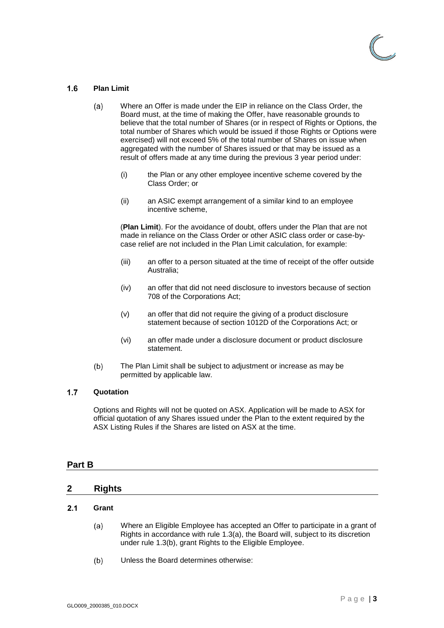

#### <span id="page-5-0"></span> $1.6$ **Plan Limit**

- Where an Offer is made under the EIP in reliance on the Class Order, the  $(a)$ Board must, at the time of making the Offer, have reasonable grounds to believe that the total number of Shares (or in respect of Rights or Options, the total number of Shares which would be issued if those Rights or Options were exercised) will not exceed 5% of the total number of Shares on issue when aggregated with the number of Shares issued or that may be issued as a result of offers made at any time during the previous 3 year period under:
	- (i) the Plan or any other employee incentive scheme covered by the Class Order; or
	- (ii) an ASIC exempt arrangement of a similar kind to an employee incentive scheme,

(**Plan Limit**). For the avoidance of doubt, offers under the Plan that are not made in reliance on the Class Order or other ASIC class order or case-bycase relief are not included in the Plan Limit calculation, for example:

- (iii) an offer to a person situated at the time of receipt of the offer outside Australia;
- (iv) an offer that did not need disclosure to investors because of section 708 of the Corporations Act;
- (v) an offer that did not require the giving of a product disclosure statement because of section 1012D of the Corporations Act; or
- (vi) an offer made under a disclosure document or product disclosure statement.
- $(b)$ The Plan Limit shall be subject to adjustment or increase as may be permitted by applicable law.

#### <span id="page-5-1"></span> $1.7$ **Quotation**

Options and Rights will not be quoted on ASX. Application will be made to ASX for official quotation of any Shares issued under the Plan to the extent required by the ASX Listing Rules if the Shares are listed on ASX at the time.

### <span id="page-5-2"></span>**Part B**

### <span id="page-5-3"></span>**2 Rights**

#### <span id="page-5-4"></span> $2.1$ **Grant**

- Where an Eligible Employee has accepted an Offer to participate in a grant of  $(a)$ Rights in accordance with rule [1.3\(a\),](#page-4-3) the Board will, subject to its discretion under rule [1.3\(b\),](#page-4-4) grant Rights to the Eligible Employee.
- $(b)$ Unless the Board determines otherwise: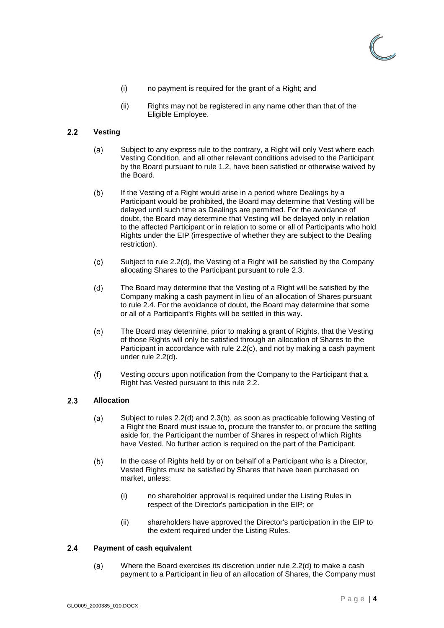

- (i) no payment is required for the grant of a Right; and
- (ii) Rights may not be registered in any name other than that of the Eligible Employee.

#### <span id="page-6-0"></span> $2.2$ **Vesting**

- Subject to any express rule to the contrary, a Right will only Vest where each  $(a)$ Vesting Condition, and all other relevant conditions advised to the Participant by the Board pursuant to rule [1.2,](#page-3-4) have been satisfied or otherwise waived by the Board.
- $(b)$ If the Vesting of a Right would arise in a period where Dealings by a Participant would be prohibited, the Board may determine that Vesting will be delayed until such time as Dealings are permitted. For the avoidance of doubt, the Board may determine that Vesting will be delayed only in relation to the affected Participant or in relation to some or all of Participants who hold Rights under the EIP (irrespective of whether they are subject to the Dealing restriction).
- <span id="page-6-5"></span> $(c)$ Subject to rule [2.2](#page-6-0)[\(d\),](#page-6-4) the Vesting of a Right will be satisfied by the Company allocating Shares to the Participant pursuant to rule [2.3.](#page-6-1)
- <span id="page-6-4"></span>The Board may determine that the Vesting of a Right will be satisfied by the  $(d)$ Company making a cash payment in lieu of an allocation of Shares pursuant to rule [2.4.](#page-6-2) For the avoidance of doubt, the Board may determine that some or all of a Participant's Rights will be settled in this way.
- <span id="page-6-3"></span> $(e)$ The Board may determine, prior to making a grant of Rights, that the Vesting of those Rights will only be satisfied through an allocation of Shares to the Participant in accordance with rule [2.2](#page-6-0)[\(c\),](#page-6-5) and not by making a cash payment under rule [2.2](#page-6-0)[\(d\).](#page-6-4)
- $(f)$ Vesting occurs upon notification from the Company to the Participant that a Right has Vested pursuant to this rule [2.2.](#page-6-0)

#### <span id="page-6-1"></span> $2.3$ **Allocation**

- $(a)$ Subject to rules [2.2\(d\)](#page-6-4) and [2.3](#page-6-1)[\(b\),](#page-6-6) as soon as practicable following Vesting of a Right the Board must issue to, procure the transfer to, or procure the setting aside for, the Participant the number of Shares in respect of which Rights have Vested. No further action is required on the part of the Participant.
- <span id="page-6-6"></span>In the case of Rights held by or on behalf of a Participant who is a Director,  $(b)$ Vested Rights must be satisfied by Shares that have been purchased on market, unless:
	- (i) no shareholder approval is required under the Listing Rules in respect of the Director's participation in the EIP; or
	- (ii) shareholders have approved the Director's participation in the EIP to the extent required under the Listing Rules.

#### <span id="page-6-2"></span> $2.4$ **Payment of cash equivalent**

<span id="page-6-7"></span>Where the Board exercises its discretion under rule [2.2\(d\)](#page-6-4) to make a cash  $(a)$ payment to a Participant in lieu of an allocation of Shares, the Company must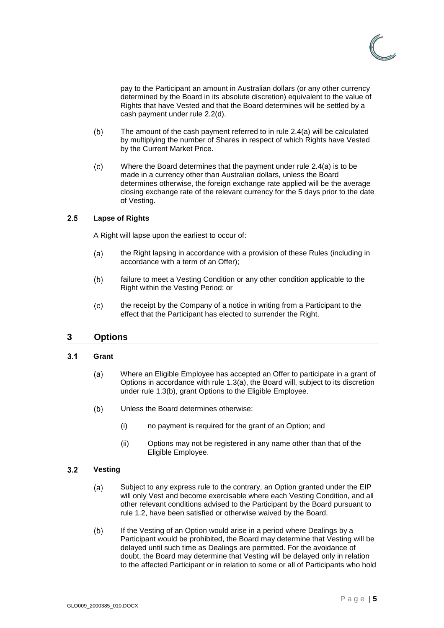

pay to the Participant an amount in Australian dollars (or any other currency determined by the Board in its absolute discretion) equivalent to the value of Rights that have Vested and that the Board determines will be settled by a cash payment under rule [2.2\(d\).](#page-6-4)

- $(b)$ The amount of the cash payment referred to in rule [2.4](#page-6-2)[\(a\)](#page-6-7) will be calculated by multiplying the number of Shares in respect of which Rights have Vested by the Current Market Price.
- $(c)$ Where the Board determines that the payment under rule [2.4](#page-6-2)[\(a\)](#page-6-7) is to be made in a currency other than Australian dollars, unless the Board determines otherwise, the foreign exchange rate applied will be the average closing exchange rate of the relevant currency for the 5 days prior to the date of Vesting.

#### <span id="page-7-0"></span> $2.5$ **Lapse of Rights**

A Right will lapse upon the earliest to occur of:

- $(a)$ the Right lapsing in accordance with a provision of these Rules (including in accordance with a term of an Offer);
- $(b)$ failure to meet a Vesting Condition or any other condition applicable to the Right within the Vesting Period; or
- $(c)$ the receipt by the Company of a notice in writing from a Participant to the effect that the Participant has elected to surrender the Right.

### <span id="page-7-1"></span>**3 Options**

#### <span id="page-7-2"></span> $3.1$ **Grant**

- Where an Eligible Employee has accepted an Offer to participate in a grant of  $(a)$ Options in accordance with rule [1.3\(a\),](#page-4-3) the Board will, subject to its discretion under rule [1.3\(b\),](#page-4-4) grant Options to the Eligible Employee.
- $(b)$ Unless the Board determines otherwise:
	- (i) no payment is required for the grant of an Option; and
	- (ii) Options may not be registered in any name other than that of the Eligible Employee.

#### <span id="page-7-3"></span> $3.2$ **Vesting**

- $(a)$ Subject to any express rule to the contrary, an Option granted under the EIP will only Vest and become exercisable where each Vesting Condition, and all other relevant conditions advised to the Participant by the Board pursuant to rule [1.2,](#page-3-4) have been satisfied or otherwise waived by the Board.
- $(b)$ If the Vesting of an Option would arise in a period where Dealings by a Participant would be prohibited, the Board may determine that Vesting will be delayed until such time as Dealings are permitted. For the avoidance of doubt, the Board may determine that Vesting will be delayed only in relation to the affected Participant or in relation to some or all of Participants who hold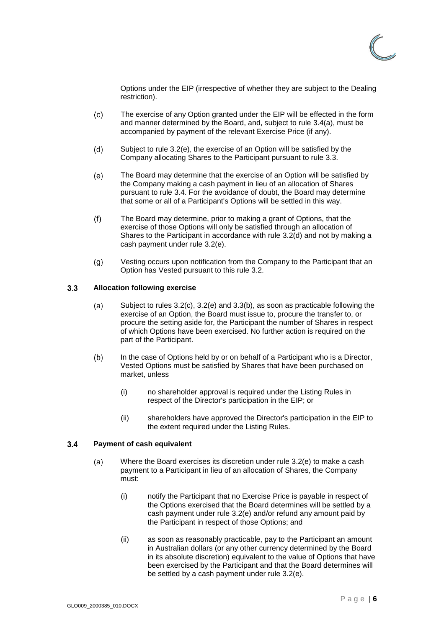

Options under the EIP (irrespective of whether they are subject to the Dealing restriction).

- <span id="page-8-6"></span>The exercise of any Option granted under the EIP will be effected in the form  $(c)$ and manner determined by the Board, and, subject to rule [3.4\(a\),](#page-8-3) must be accompanied by payment of the relevant Exercise Price (if any).
- <span id="page-8-5"></span> $(d)$ Subject to rule [3.2](#page-7-3)[\(e\),](#page-8-4) the exercise of an Option will be satisfied by the Company allocating Shares to the Participant pursuant to rule [3.3.](#page-8-0)
- <span id="page-8-4"></span>The Board may determine that the exercise of an Option will be satisfied by  $(e)$ the Company making a cash payment in lieu of an allocation of Shares pursuant to rule [3.4.](#page-8-1) For the avoidance of doubt, the Board may determine that some or all of a Participant's Options will be settled in this way.
- <span id="page-8-2"></span>The Board may determine, prior to making a grant of Options, that the  $(f)$ exercise of those Options will only be satisfied through an allocation of Shares to the Participant in accordance with rule [3.2](#page-7-3)[\(d\)](#page-8-5) and not by making a cash payment under rule [3.2](#page-7-3)[\(e\).](#page-8-4)
- $(g)$ Vesting occurs upon notification from the Company to the Participant that an Option has Vested pursuant to this rule [3.2.](#page-7-3)

#### <span id="page-8-0"></span> $3.3$ **Allocation following exercise**

- Subject to rules [3.2\(c\),](#page-8-6) [3.2\(e\)](#page-8-4) and [3.3](#page-8-0)[\(b\),](#page-8-7) as soon as practicable following the  $(a)$ exercise of an Option, the Board must issue to, procure the transfer to, or procure the setting aside for, the Participant the number of Shares in respect of which Options have been exercised. No further action is required on the part of the Participant.
- <span id="page-8-7"></span> $(b)$ In the case of Options held by or on behalf of a Participant who is a Director, Vested Options must be satisfied by Shares that have been purchased on market, unless
	- (i) no shareholder approval is required under the Listing Rules in respect of the Director's participation in the EIP; or
	- (ii) shareholders have approved the Director's participation in the EIP to the extent required under the Listing Rules.

#### <span id="page-8-3"></span><span id="page-8-1"></span> $3.4$ **Payment of cash equivalent**

- <span id="page-8-8"></span>Where the Board exercises its discretion under rule [3.2\(e\)](#page-8-4) to make a cash  $(a)$ payment to a Participant in lieu of an allocation of Shares, the Company must:
	- (i) notify the Participant that no Exercise Price is payable in respect of the Options exercised that the Board determines will be settled by a cash payment under rule [3.2\(e\)](#page-8-4) and/or refund any amount paid by the Participant in respect of those Options; and
	- (ii) as soon as reasonably practicable, pay to the Participant an amount in Australian dollars (or any other currency determined by the Board in its absolute discretion) equivalent to the value of Options that have been exercised by the Participant and that the Board determines will be settled by a cash payment under rule [3.2\(e\).](#page-8-4)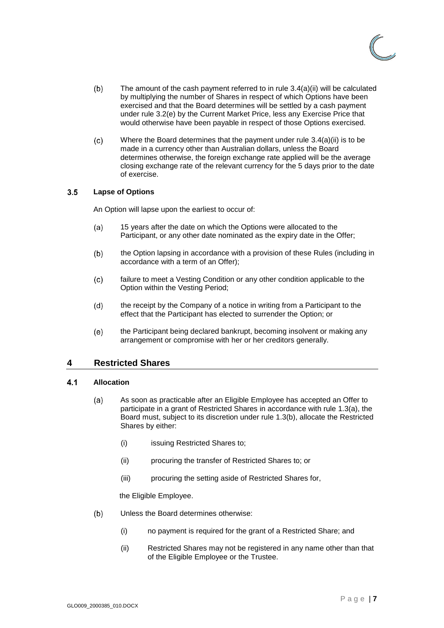

- $(b)$ The amount of the cash payment referred to in rule [3.4](#page-8-1)[\(a\)\(ii\)](#page-8-8) will be calculated by multiplying the number of Shares in respect of which Options have been exercised and that the Board determines will be settled by a cash payment under rule [3.2\(e\)](#page-8-4) by the Current Market Price, less any Exercise Price that would otherwise have been payable in respect of those Options exercised.
- $(c)$ Where the Board determines that the payment under rule [3.4](#page-8-1)[\(a\)\(ii\)](#page-8-8) is to be made in a currency other than Australian dollars, unless the Board determines otherwise, the foreign exchange rate applied will be the average closing exchange rate of the relevant currency for the 5 days prior to the date of exercise.

#### <span id="page-9-0"></span> $3.5$ **Lapse of Options**

An Option will lapse upon the earliest to occur of:

- $(a)$ 15 years after the date on which the Options were allocated to the Participant, or any other date nominated as the expiry date in the Offer;
- the Option lapsing in accordance with a provision of these Rules (including in  $(b)$ accordance with a term of an Offer);
- failure to meet a Vesting Condition or any other condition applicable to the  $(c)$ Option within the Vesting Period;
- $(d)$ the receipt by the Company of a notice in writing from a Participant to the effect that the Participant has elected to surrender the Option; or
- the Participant being declared bankrupt, becoming insolvent or making any  $(e)$ arrangement or compromise with her or her creditors generally.

### <span id="page-9-1"></span>**4 Restricted Shares**

#### <span id="page-9-2"></span> $4.1$ **Allocation**

- $(a)$ As soon as practicable after an Eligible Employee has accepted an Offer to participate in a grant of Restricted Shares in accordance with rule [1.3\(a\),](#page-4-3) the Board must, subject to its discretion under rule [1.3\(b\),](#page-4-4) allocate the Restricted Shares by either:
	- (i) issuing Restricted Shares to;
	- (ii) procuring the transfer of Restricted Shares to; or
	- (iii) procuring the setting aside of Restricted Shares for,

the Eligible Employee.

- $(b)$ Unless the Board determines otherwise:
	- (i) no payment is required for the grant of a Restricted Share; and
	- (ii) Restricted Shares may not be registered in any name other than that of the Eligible Employee or the Trustee.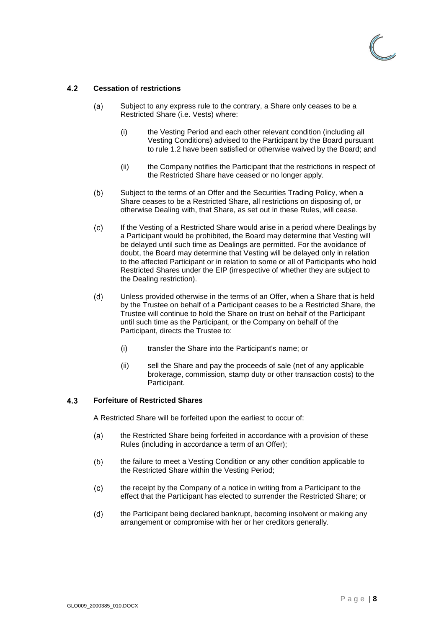

#### <span id="page-10-0"></span> $4.2$ **Cessation of restrictions**

- Subject to any express rule to the contrary, a Share only ceases to be a  $(a)$ Restricted Share (i.e. Vests) where:
	- (i) the Vesting Period and each other relevant condition (including all Vesting Conditions) advised to the Participant by the Board pursuant to rule [1.2](#page-3-4) have been satisfied or otherwise waived by the Board; and
	- (ii) the Company notifies the Participant that the restrictions in respect of the Restricted Share have ceased or no longer apply.
- $(b)$ Subject to the terms of an Offer and the Securities Trading Policy, when a Share ceases to be a Restricted Share, all restrictions on disposing of, or otherwise Dealing with, that Share, as set out in these Rules, will cease.
- If the Vesting of a Restricted Share would arise in a period where Dealings by  $(c)$ a Participant would be prohibited, the Board may determine that Vesting will be delayed until such time as Dealings are permitted. For the avoidance of doubt, the Board may determine that Vesting will be delayed only in relation to the affected Participant or in relation to some or all of Participants who hold Restricted Shares under the EIP (irrespective of whether they are subject to the Dealing restriction).
- $(d)$ Unless provided otherwise in the terms of an Offer, when a Share that is held by the Trustee on behalf of a Participant ceases to be a Restricted Share, the Trustee will continue to hold the Share on trust on behalf of the Participant until such time as the Participant, or the Company on behalf of the Participant, directs the Trustee to:
	- (i) transfer the Share into the Participant's name; or
	- (ii) sell the Share and pay the proceeds of sale (net of any applicable brokerage, commission, stamp duty or other transaction costs) to the Participant.

#### <span id="page-10-1"></span> $4.3$ **Forfeiture of Restricted Shares**

A Restricted Share will be forfeited upon the earliest to occur of:

- the Restricted Share being forfeited in accordance with a provision of these  $(a)$ Rules (including in accordance a term of an Offer);
- the failure to meet a Vesting Condition or any other condition applicable to  $(b)$ the Restricted Share within the Vesting Period;
- $(c)$ the receipt by the Company of a notice in writing from a Participant to the effect that the Participant has elected to surrender the Restricted Share; or
- the Participant being declared bankrupt, becoming insolvent or making any  $(d)$ arrangement or compromise with her or her creditors generally.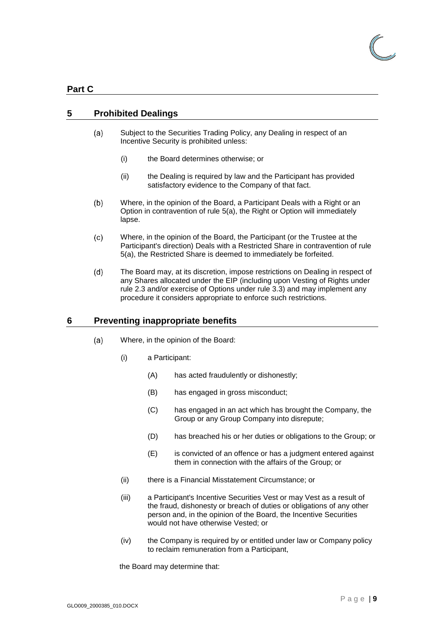### <span id="page-11-0"></span>**Part C**

### <span id="page-11-3"></span><span id="page-11-1"></span>**5 Prohibited Dealings**

- Subject to the Securities Trading Policy, any Dealing in respect of an  $(a)$ Incentive Security is prohibited unless:
	- (i) the Board determines otherwise; or
	- (ii) the Dealing is required by law and the Participant has provided satisfactory evidence to the Company of that fact.
- $(b)$ Where, in the opinion of the Board, a Participant Deals with a Right or an Option in contravention of rule [5](#page-11-1)[\(a\),](#page-11-3) the Right or Option will immediately lapse.
- $(c)$ Where, in the opinion of the Board, the Participant (or the Trustee at the Participant's direction) Deals with a Restricted Share in contravention of rule [5](#page-11-1)[\(a\),](#page-11-3) the Restricted Share is deemed to immediately be forfeited.
- <span id="page-11-4"></span> $(d)$ The Board may, at its discretion, impose restrictions on Dealing in respect of any Shares allocated under the EIP (including upon Vesting of Rights under rule [2.3](#page-6-1) and/or exercise of Options under rule [3.3\)](#page-8-0) and may implement any procedure it considers appropriate to enforce such restrictions.

### <span id="page-11-2"></span>**6 Preventing inappropriate benefits**

- $(a)$ Where, in the opinion of the Board:
	- (i) a Participant:
		- (A) has acted fraudulently or dishonestly;
		- (B) has engaged in gross misconduct;
		- (C) has engaged in an act which has brought the Company, the Group or any Group Company into disrepute;
		- (D) has breached his or her duties or obligations to the Group; or
		- (E) is convicted of an offence or has a judgment entered against them in connection with the affairs of the Group; or
	- (ii) there is a Financial Misstatement Circumstance; or
	- (iii) a Participant's Incentive Securities Vest or may Vest as a result of the fraud, dishonesty or breach of duties or obligations of any other person and, in the opinion of the Board, the Incentive Securities would not have otherwise Vested; or
	- (iv) the Company is required by or entitled under law or Company policy to reclaim remuneration from a Participant,

the Board may determine that: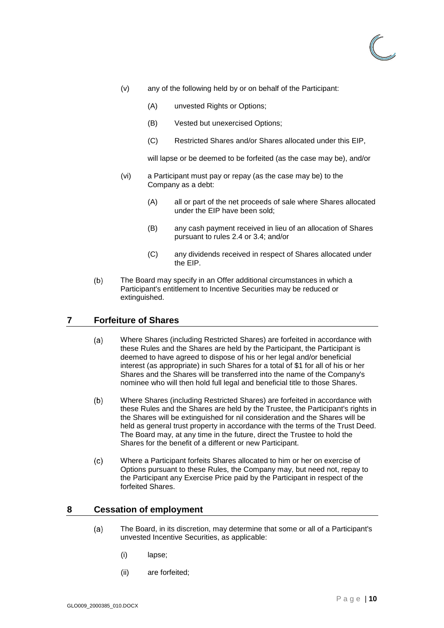

- (v) any of the following held by or on behalf of the Participant:
	- (A) unvested Rights or Options;
	- (B) Vested but unexercised Options;
	- (C) Restricted Shares and/or Shares allocated under this EIP,

will lapse or be deemed to be forfeited (as the case may be), and/or

- (vi) a Participant must pay or repay (as the case may be) to the Company as a debt:
	- (A) all or part of the net proceeds of sale where Shares allocated under the EIP have been sold;
	- (B) any cash payment received in lieu of an allocation of Shares pursuant to rules [2.4](#page-6-2) or [3.4;](#page-8-1) and/or
	- (C) any dividends received in respect of Shares allocated under the EIP.
- <span id="page-12-2"></span> $(b)$ The Board may specify in an Offer additional circumstances in which a Participant's entitlement to Incentive Securities may be reduced or extinguished.

### <span id="page-12-0"></span>**7 Forfeiture of Shares**

- Where Shares (including Restricted Shares) are forfeited in accordance with  $(a)$ these Rules and the Shares are held by the Participant, the Participant is deemed to have agreed to dispose of his or her legal and/or beneficial interest (as appropriate) in such Shares for a total of \$1 for all of his or her Shares and the Shares will be transferred into the name of the Company's nominee who will then hold full legal and beneficial title to those Shares.
- Where Shares (including Restricted Shares) are forfeited in accordance with  $(b)$ these Rules and the Shares are held by the Trustee, the Participant's rights in the Shares will be extinguished for nil consideration and the Shares will be held as general trust property in accordance with the terms of the Trust Deed. The Board may, at any time in the future, direct the Trustee to hold the Shares for the benefit of a different or new Participant.
- Where a Participant forfeits Shares allocated to him or her on exercise of  $(c)$ Options pursuant to these Rules, the Company may, but need not, repay to the Participant any Exercise Price paid by the Participant in respect of the forfeited Shares.

### <span id="page-12-3"></span><span id="page-12-1"></span>**8 Cessation of employment**

- $(a)$ The Board, in its discretion, may determine that some or all of a Participant's unvested Incentive Securities, as applicable:
	- (i) lapse;
	- (ii) are forfeited;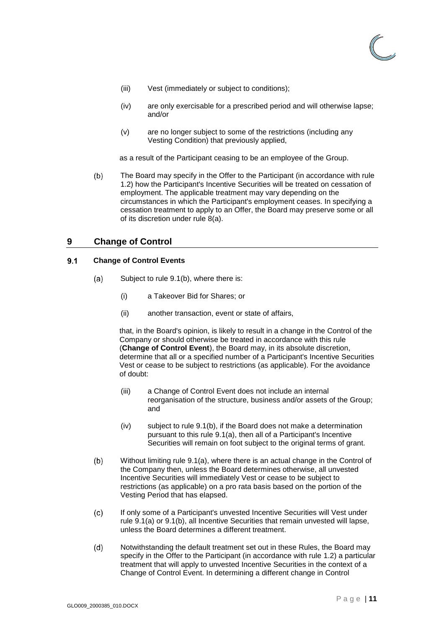

- (iii) Vest (immediately or subject to conditions);
- (iv) are only exercisable for a prescribed period and will otherwise lapse; and/or
- (v) are no longer subject to some of the restrictions (including any Vesting Condition) that previously applied,

as a result of the Participant ceasing to be an employee of the Group.

 $(b)$ The Board may specify in the Offer to the Participant (in accordance with rule [1.2\)](#page-3-4) how the Participant's Incentive Securities will be treated on cessation of employment. The applicable treatment may vary depending on the circumstances in which the Participant's employment ceases. In specifying a cessation treatment to apply to an Offer, the Board may preserve some or all of its discretion under rule [8](#page-12-1)[\(a\).](#page-12-3)

### <span id="page-13-0"></span>**9 Change of Control**

#### <span id="page-13-3"></span><span id="page-13-1"></span> $9.1$ **Change of Control Events**

- $(a)$ Subject to rule [9.1](#page-13-1)[\(b\),](#page-13-2) where there is:
	- (i) a Takeover Bid for Shares; or
	- (ii) another transaction, event or state of affairs,

that, in the Board's opinion, is likely to result in a change in the Control of the Company or should otherwise be treated in accordance with this rule (**Change of Control Event**), the Board may, in its absolute discretion, determine that all or a specified number of a Participant's Incentive Securities Vest or cease to be subject to restrictions (as applicable). For the avoidance of doubt:

- (iii) a Change of Control Event does not include an internal reorganisation of the structure, business and/or assets of the Group; and
- (iv) subject to rule [9.1](#page-13-1)[\(b\),](#page-13-2) if the Board does not make a determination pursuant to this rule [9.1](#page-13-1)[\(a\),](#page-13-3) then all of a Participant's Incentive Securities will remain on foot subject to the original terms of grant.
- <span id="page-13-2"></span> $(b)$ Without limiting rule [9.1](#page-13-1)[\(a\),](#page-13-3) where there is an actual change in the Control of the Company then, unless the Board determines otherwise, all unvested Incentive Securities will immediately Vest or cease to be subject to restrictions (as applicable) on a pro rata basis based on the portion of the Vesting Period that has elapsed.
- $(c)$ If only some of a Participant's unvested Incentive Securities will Vest under rule [9.1](#page-13-1)[\(a\)](#page-13-3) or [9.1](#page-13-1)[\(b\),](#page-13-2) all Incentive Securities that remain unvested will lapse, unless the Board determines a different treatment.
- Notwithstanding the default treatment set out in these Rules, the Board may  $(d)$ specify in the Offer to the Participant (in accordance with rule [1.2\)](#page-3-4) a particular treatment that will apply to unvested Incentive Securities in the context of a Change of Control Event. In determining a different change in Control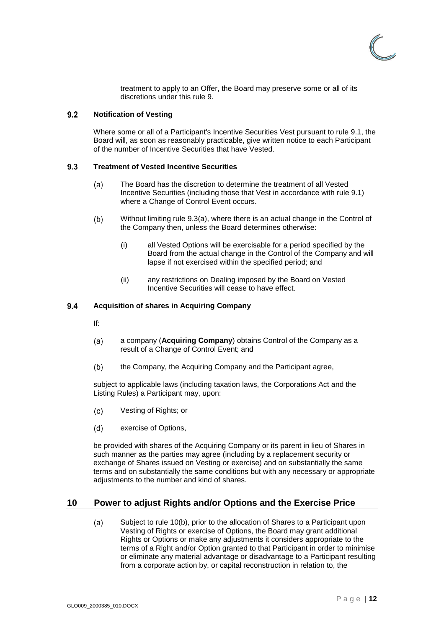

treatment to apply to an Offer, the Board may preserve some or all of its discretions under this rule [9.](#page-13-0)

#### <span id="page-14-0"></span> $9.2$ **Notification of Vesting**

Where some or all of a Participant's Incentive Securities Vest pursuant to rule [9.1,](#page-13-1) the Board will, as soon as reasonably practicable, give written notice to each Participant of the number of Incentive Securities that have Vested.

#### <span id="page-14-4"></span><span id="page-14-1"></span> $9.3$ **Treatment of Vested Incentive Securities**

- $(a)$ The Board has the discretion to determine the treatment of all Vested Incentive Securities (including those that Vest in accordance with rule 9.1) where a Change of Control Event occurs.
- $(b)$ Without limiting rule [9.3](#page-14-1)[\(a\),](#page-14-4) where there is an actual change in the Control of the Company then, unless the Board determines otherwise:
	- (i) all Vested Options will be exercisable for a period specified by the Board from the actual change in the Control of the Company and will lapse if not exercised within the specified period; and
	- (ii) any restrictions on Dealing imposed by the Board on Vested Incentive Securities will cease to have effect.

#### <span id="page-14-2"></span>9.4 **Acquisition of shares in Acquiring Company**

- If:
- $(a)$ a company (**Acquiring Company**) obtains Control of the Company as a result of a Change of Control Event; and
- $(b)$ the Company, the Acquiring Company and the Participant agree,

subject to applicable laws (including taxation laws, the Corporations Act and the Listing Rules) a Participant may, upon:

- $(c)$ Vesting of Rights; or
- $(d)$ exercise of Options,

be provided with shares of the Acquiring Company or its parent in lieu of Shares in such manner as the parties may agree (including by a replacement security or exchange of Shares issued on Vesting or exercise) and on substantially the same terms and on substantially the same conditions but with any necessary or appropriate adjustments to the number and kind of shares.

### <span id="page-14-5"></span><span id="page-14-3"></span>**10 Power to adjust Rights and/or Options and the Exercise Price**

 $(a)$ Subject to rule [10](#page-14-3)[\(b\),](#page-15-2) prior to the allocation of Shares to a Participant upon Vesting of Rights or exercise of Options, the Board may grant additional Rights or Options or make any adjustments it considers appropriate to the terms of a Right and/or Option granted to that Participant in order to minimise or eliminate any material advantage or disadvantage to a Participant resulting from a corporate action by, or capital reconstruction in relation to, the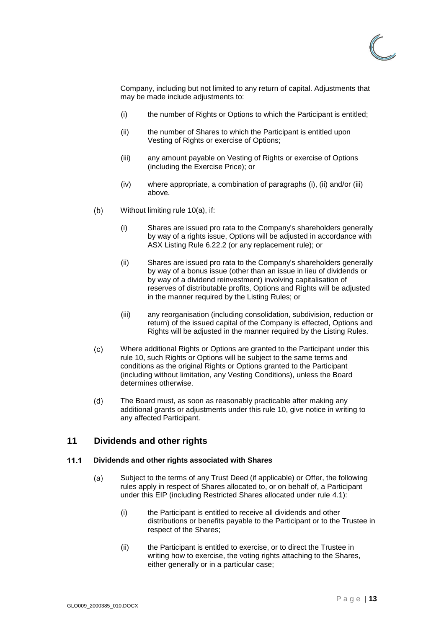

Company, including but not limited to any return of capital. Adjustments that may be made include adjustments to:

- <span id="page-15-3"></span>(i) the number of Rights or Options to which the Participant is entitled;
- <span id="page-15-4"></span>(ii) the number of Shares to which the Participant is entitled upon Vesting of Rights or exercise of Options;
- <span id="page-15-5"></span>(iii) any amount payable on Vesting of Rights or exercise of Options (including the Exercise Price); or
- (iv) where appropriate, a combination of paragraphs [\(i\),](#page-15-3) [\(ii\)](#page-15-4) and/or [\(iii\)](#page-15-5) above.
- <span id="page-15-2"></span> $(b)$ Without limiting rule [10](#page-14-3)[\(a\),](#page-14-5) if:
	- (i) Shares are issued pro rata to the Company's shareholders generally by way of a rights issue, Options will be adjusted in accordance with ASX Listing Rule 6.22.2 (or any replacement rule); or
	- (ii) Shares are issued pro rata to the Company's shareholders generally by way of a bonus issue (other than an issue in lieu of dividends or by way of a dividend reinvestment) involving capitalisation of reserves of distributable profits, Options and Rights will be adjusted in the manner required by the Listing Rules; or
	- (iii) any reorganisation (including consolidation, subdivision, reduction or return) of the issued capital of the Company is effected, Options and Rights will be adjusted in the manner required by the Listing Rules.
- $(c)$ Where additional Rights or Options are granted to the Participant under this rule 10, such Rights or Options will be subject to the same terms and conditions as the original Rights or Options granted to the Participant (including without limitation, any Vesting Conditions), unless the Board determines otherwise.
- $(d)$ The Board must, as soon as reasonably practicable after making any additional grants or adjustments under this rule [10,](#page-14-3) give notice in writing to any affected Participant.

### <span id="page-15-0"></span>**11 Dividends and other rights**

#### <span id="page-15-1"></span> $11.1$ **Dividends and other rights associated with Shares**

- Subject to the terms of any Trust Deed (if applicable) or Offer, the following  $(a)$ rules apply in respect of Shares allocated to, or on behalf of, a Participant under this EIP (including Restricted Shares allocated under rule [4.1\)](#page-9-2):
	- (i) the Participant is entitled to receive all dividends and other distributions or benefits payable to the Participant or to the Trustee in respect of the Shares;
	- (ii) the Participant is entitled to exercise, or to direct the Trustee in writing how to exercise, the voting rights attaching to the Shares, either generally or in a particular case;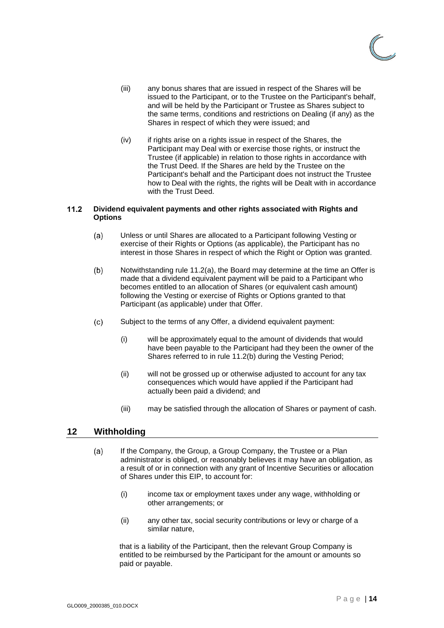

- (iii) any bonus shares that are issued in respect of the Shares will be issued to the Participant, or to the Trustee on the Participant's behalf, and will be held by the Participant or Trustee as Shares subject to the same terms, conditions and restrictions on Dealing (if any) as the Shares in respect of which they were issued; and
- (iv) if rights arise on a rights issue in respect of the Shares, the Participant may Deal with or exercise those rights, or instruct the Trustee (if applicable) in relation to those rights in accordance with the Trust Deed. If the Shares are held by the Trustee on the Participant's behalf and the Participant does not instruct the Trustee how to Deal with the rights, the rights will be Dealt with in accordance with the Trust Deed.

### <span id="page-16-2"></span><span id="page-16-0"></span> $11.2$ **Dividend equivalent payments and other rights associated with Rights and Options**

- Unless or until Shares are allocated to a Participant following Vesting or  $(a)$ exercise of their Rights or Options (as applicable), the Participant has no interest in those Shares in respect of which the Right or Option was granted.
- <span id="page-16-3"></span>Notwithstanding rule [11.2](#page-16-0)[\(a\),](#page-16-2) the Board may determine at the time an Offer is  $(b)$ made that a dividend equivalent payment will be paid to a Participant who becomes entitled to an allocation of Shares (or equivalent cash amount) following the Vesting or exercise of Rights or Options granted to that Participant (as applicable) under that Offer.
- $(c)$ Subject to the terms of any Offer, a dividend equivalent payment:
	- (i) will be approximately equal to the amount of dividends that would have been payable to the Participant had they been the owner of the Shares referred to in rule [11.2](#page-16-0)[\(b\)](#page-16-3) during the Vesting Period;
	- (ii) will not be grossed up or otherwise adjusted to account for any tax consequences which would have applied if the Participant had actually been paid a dividend; and
	- (iii) may be satisfied through the allocation of Shares or payment of cash.

### <span id="page-16-4"></span><span id="page-16-1"></span>**12 Withholding**

- $(a)$ If the Company, the Group, a Group Company, the Trustee or a Plan administrator is obliged, or reasonably believes it may have an obligation, as a result of or in connection with any grant of Incentive Securities or allocation of Shares under this EIP, to account for:
	- (i) income tax or employment taxes under any wage, withholding or other arrangements; or
	- (ii) any other tax, social security contributions or levy or charge of a similar nature,

that is a liability of the Participant, then the relevant Group Company is entitled to be reimbursed by the Participant for the amount or amounts so paid or payable.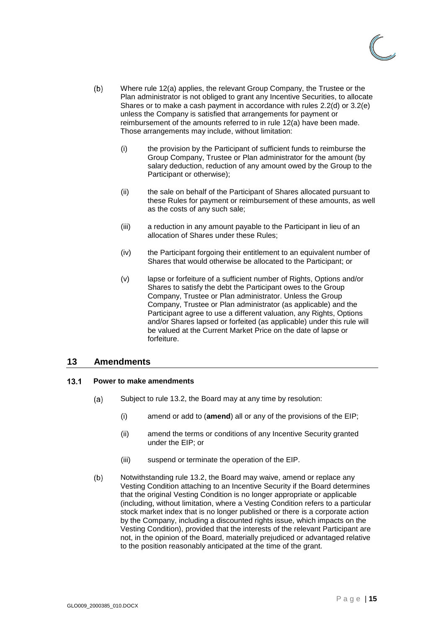

- $(b)$ Where rule [12](#page-16-1)[\(a\)](#page-16-4) applies, the relevant Group Company, the Trustee or the Plan administrator is not obliged to grant any Incentive Securities, to allocate Shares or to make a cash payment in accordance with rules [2.2\(d\)](#page-6-4) or [3.2\(e\)](#page-8-4) unless the Company is satisfied that arrangements for payment or reimbursement of the amounts referred to in rule [12](#page-16-1)[\(a\)](#page-16-4) have been made. Those arrangements may include, without limitation:
	- (i) the provision by the Participant of sufficient funds to reimburse the Group Company, Trustee or Plan administrator for the amount (by salary deduction, reduction of any amount owed by the Group to the Participant or otherwise);
	- (ii) the sale on behalf of the Participant of Shares allocated pursuant to these Rules for payment or reimbursement of these amounts, as well as the costs of any such sale;
	- (iii) a reduction in any amount payable to the Participant in lieu of an allocation of Shares under these Rules;
	- (iv) the Participant forgoing their entitlement to an equivalent number of Shares that would otherwise be allocated to the Participant; or
	- (v) lapse or forfeiture of a sufficient number of Rights, Options and/or Shares to satisfy the debt the Participant owes to the Group Company, Trustee or Plan administrator. Unless the Group Company, Trustee or Plan administrator (as applicable) and the Participant agree to use a different valuation, any Rights, Options and/or Shares lapsed or forfeited (as applicable) under this rule will be valued at the Current Market Price on the date of lapse or forfeiture.

### <span id="page-17-0"></span>**13 Amendments**

#### <span id="page-17-2"></span><span id="page-17-1"></span> $13.1$ **Power to make amendments**

- $(a)$ Subject to rule [13.2,](#page-18-0) the Board may at any time by resolution:
	- (i) amend or add to (**amend**) all or any of the provisions of the EIP;
	- (ii) amend the terms or conditions of any Incentive Security granted under the EIP; or
	- (iii) suspend or terminate the operation of the EIP.
- $(b)$ Notwithstanding rule [13.2,](#page-18-0) the Board may waive, amend or replace any Vesting Condition attaching to an Incentive Security if the Board determines that the original Vesting Condition is no longer appropriate or applicable (including, without limitation, where a Vesting Condition refers to a particular stock market index that is no longer published or there is a corporate action by the Company, including a discounted rights issue, which impacts on the Vesting Condition), provided that the interests of the relevant Participant are not, in the opinion of the Board, materially prejudiced or advantaged relative to the position reasonably anticipated at the time of the grant.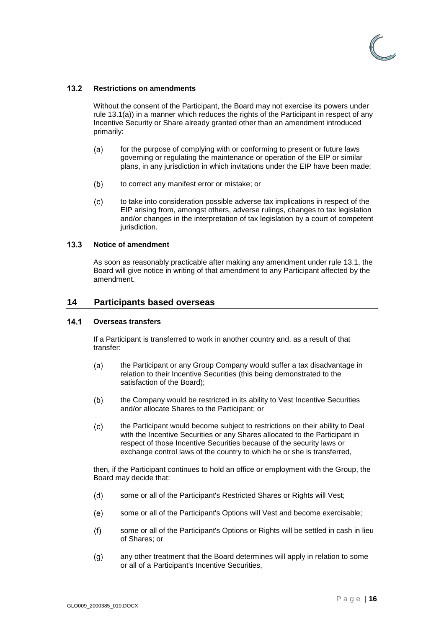

#### <span id="page-18-0"></span> $13.2$ **Restrictions on amendments**

Without the consent of the Participant, the Board may not exercise its powers under rule [13.1\(a\)\)](#page-17-2) in a manner which reduces the rights of the Participant in respect of any Incentive Security or Share already granted other than an amendment introduced primarily:

- for the purpose of complying with or conforming to present or future laws  $(a)$ governing or regulating the maintenance or operation of the ElP or similar plans, in any jurisdiction in which invitations under the EIP have been made;
- $(b)$ to correct any manifest error or mistake; or
- $(c)$ to take into consideration possible adverse tax implications in respect of the EIP arising from, amongst others, adverse rulings, changes to tax legislation and/or changes in the interpretation of tax legislation by a court of competent jurisdiction.

#### <span id="page-18-1"></span> $13.3$ **Notice of amendment**

As soon as reasonably practicable after making any amendment under rule [13.1,](#page-17-1) the Board will give notice in writing of that amendment to any Participant affected by the amendment.

### <span id="page-18-2"></span>**14 Participants based overseas**

#### <span id="page-18-3"></span> $14.1$ **Overseas transfers**

If a Participant is transferred to work in another country and, as a result of that transfer:

- $(a)$ the Participant or any Group Company would suffer a tax disadvantage in relation to their Incentive Securities (this being demonstrated to the satisfaction of the Board);
- $(b)$ the Company would be restricted in its ability to Vest Incentive Securities and/or allocate Shares to the Participant; or
- $(c)$ the Participant would become subject to restrictions on their ability to Deal with the Incentive Securities or any Shares allocated to the Participant in respect of those Incentive Securities because of the security laws or exchange control laws of the country to which he or she is transferred,

then, if the Participant continues to hold an office or employment with the Group, the Board may decide that:

- $(d)$ some or all of the Participant's Restricted Shares or Rights will Vest;
- some or all of the Participant's Options will Vest and become exercisable;  $(e)$
- some or all of the Participant's Options or Rights will be settled in cash in lieu  $(f)$ of Shares; or
- $(g)$ any other treatment that the Board determines will apply in relation to some or all of a Participant's Incentive Securities,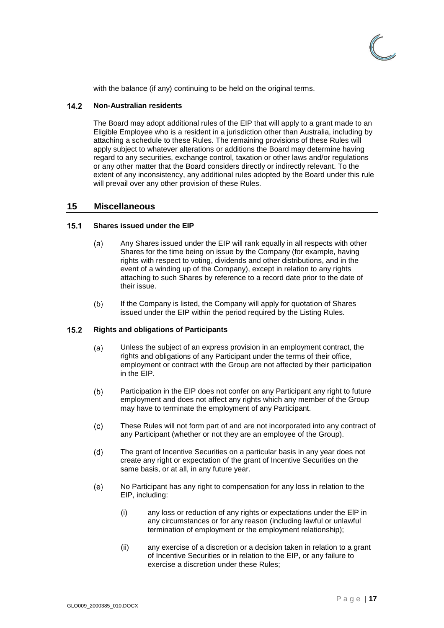

with the balance (if any) continuing to be held on the original terms.

#### <span id="page-19-0"></span> $14.2$ **Non-Australian residents**

The Board may adopt additional rules of the EIP that will apply to a grant made to an Eligible Employee who is a resident in a jurisdiction other than Australia, including by attaching a schedule to these Rules. The remaining provisions of these Rules will apply subject to whatever alterations or additions the Board may determine having regard to any securities, exchange control, taxation or other laws and/or regulations or any other matter that the Board considers directly or indirectly relevant. To the extent of any inconsistency, any additional rules adopted by the Board under this rule will prevail over any other provision of these Rules.

### <span id="page-19-1"></span>**15 Miscellaneous**

#### <span id="page-19-2"></span> $15.1$ **Shares issued under the EIP**

- Any Shares issued under the EIP will rank equally in all respects with other  $(a)$ Shares for the time being on issue by the Company (for example, having rights with respect to voting, dividends and other distributions, and in the event of a winding up of the Company), except in relation to any rights attaching to such Shares by reference to a record date prior to the date of their issue.
- $(b)$ If the Company is listed, the Company will apply for quotation of Shares issued under the EIP within the period required by the Listing Rules.

#### <span id="page-19-3"></span> $15.2$ **Rights and obligations of Participants**

- $(a)$ Unless the subject of an express provision in an employment contract, the rights and obligations of any Participant under the terms of their office, employment or contract with the Group are not affected by their participation in the EIP.
- $(b)$ Participation in the EIP does not confer on any Participant any right to future employment and does not affect any rights which any member of the Group may have to terminate the employment of any Participant.
- $(c)$ These Rules will not form part of and are not incorporated into any contract of any Participant (whether or not they are an employee of the Group).
- $(d)$ The grant of Incentive Securities on a particular basis in any year does not create any right or expectation of the grant of Incentive Securities on the same basis, or at all, in any future year.
- $(e)$ No Participant has any right to compensation for any loss in relation to the EIP, including:
	- (i) any loss or reduction of any rights or expectations under the ElP in any circumstances or for any reason (including lawful or unlawful termination of employment or the employment relationship);
	- (ii) any exercise of a discretion or a decision taken in relation to a grant of Incentive Securities or in relation to the EIP, or any failure to exercise a discretion under these Rules;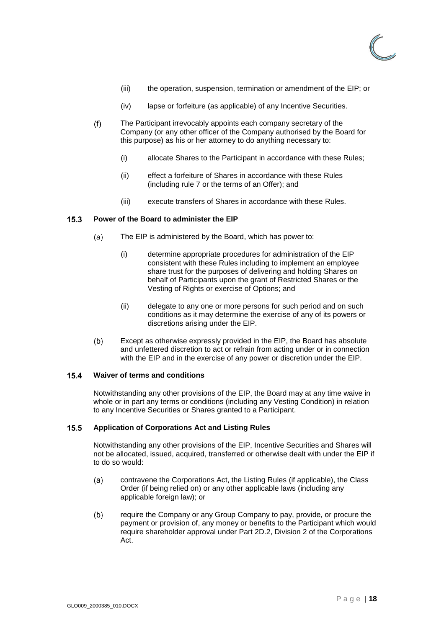

- (iii) the operation, suspension, termination or amendment of the EIP; or
- (iv) lapse or forfeiture (as applicable) of any Incentive Securities.
- $(f)$ The Participant irrevocably appoints each company secretary of the Company (or any other officer of the Company authorised by the Board for this purpose) as his or her attorney to do anything necessary to:
	- (i) allocate Shares to the Participant in accordance with these Rules;
	- (ii) effect a forfeiture of Shares in accordance with these Rules (including rule [7](#page-12-0) or the terms of an Offer); and
	- (iii) execute transfers of Shares in accordance with these Rules.

#### <span id="page-20-0"></span> $15.3$ **Power of the Board to administer the EIP**

- $(a)$ The EIP is administered by the Board, which has power to:
	- (i) determine appropriate procedures for administration of the EIP consistent with these Rules including to implement an employee share trust for the purposes of delivering and holding Shares on behalf of Participants upon the grant of Restricted Shares or the Vesting of Rights or exercise of Options; and
	- (ii) delegate to any one or more persons for such period and on such conditions as it may determine the exercise of any of its powers or discretions arising under the EIP.
- $(b)$ Except as otherwise expressly provided in the EIP, the Board has absolute and unfettered discretion to act or refrain from acting under or in connection with the EIP and in the exercise of any power or discretion under the EIP.

#### <span id="page-20-1"></span> $15.4$ **Waiver of terms and conditions**

Notwithstanding any other provisions of the EIP, the Board may at any time waive in whole or in part any terms or conditions (including any Vesting Condition) in relation to any Incentive Securities or Shares granted to a Participant.

#### <span id="page-20-2"></span> $15.5$ **Application of Corporations Act and Listing Rules**

Notwithstanding any other provisions of the EIP, Incentive Securities and Shares will not be allocated, issued, acquired, transferred or otherwise dealt with under the EIP if to do so would:

- $(a)$ contravene the Corporations Act, the Listing Rules (if applicable), the Class Order (if being relied on) or any other applicable laws (including any applicable foreign law); or
- $(b)$ require the Company or any Group Company to pay, provide, or procure the payment or provision of, any money or benefits to the Participant which would require shareholder approval under Part 2D.2, Division 2 of the Corporations Act.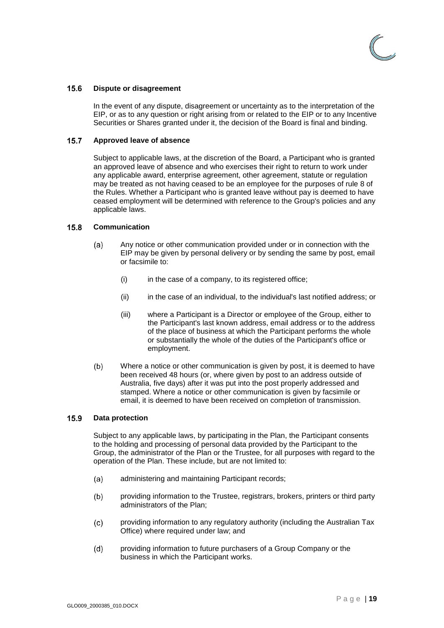

#### <span id="page-21-0"></span> $15.6$ **Dispute or disagreement**

In the event of any dispute, disagreement or uncertainty as to the interpretation of the EIP, or as to any question or right arising from or related to the EIP or to any Incentive Securities or Shares granted under it, the decision of the Board is final and binding.

#### <span id="page-21-1"></span> $15.7$ **Approved leave of absence**

Subject to applicable laws, at the discretion of the Board, a Participant who is granted an approved leave of absence and who exercises their right to return to work under any applicable award, enterprise agreement, other agreement, statute or regulation may be treated as not having ceased to be an employee for the purposes of rule [8](#page-12-1) of the Rules. Whether a Participant who is granted leave without pay is deemed to have ceased employment will be determined with reference to the Group's policies and any applicable laws.

#### <span id="page-21-2"></span> $15.8$ **Communication**

- $(a)$ Any notice or other communication provided under or in connection with the EIP may be given by personal delivery or by sending the same by post, email or facsimile to:
	- (i) in the case of a company, to its registered office;
	- (ii) in the case of an individual, to the individual's last notified address; or
	- (iii) where a Participant is a Director or employee of the Group, either to the Participant's last known address, email address or to the address of the place of business at which the Participant performs the whole or substantially the whole of the duties of the Participant's office or employment.
- $(b)$ Where a notice or other communication is given by post, it is deemed to have been received 48 hours (or, where given by post to an address outside of Australia, five days) after it was put into the post properly addressed and stamped. Where a notice or other communication is given by facsimile or email, it is deemed to have been received on completion of transmission.

#### <span id="page-21-3"></span>15.9 **Data protection**

Subject to any applicable laws, by participating in the Plan, the Participant consents to the holding and processing of personal data provided by the Participant to the Group, the administrator of the Plan or the Trustee, for all purposes with regard to the operation of the Plan. These include, but are not limited to:

- $(a)$ administering and maintaining Participant records;
- $(b)$ providing information to the Trustee, registrars, brokers, printers or third party administrators of the Plan;
- $(c)$ providing information to any regulatory authority (including the Australian Tax Office) where required under law; and
- providing information to future purchasers of a Group Company or the  $(d)$ business in which the Participant works.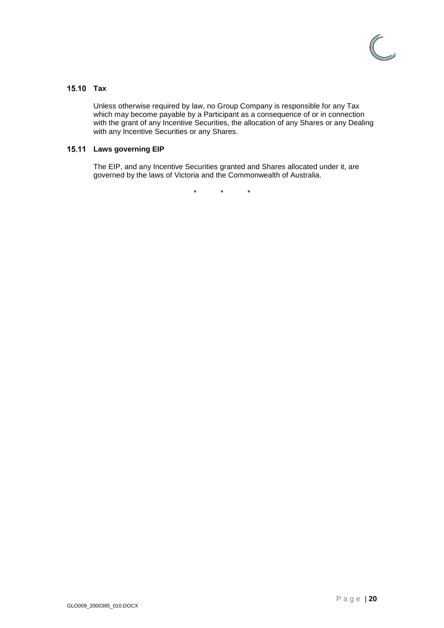

### <span id="page-22-0"></span>15.10 Tax

Unless otherwise required by law, no Group Company is responsible for any Tax which may become payable by a Participant as a consequence of or in connection with the grant of any Incentive Securities, the allocation of any Shares or any Dealing with any Incentive Securities or any Shares.

### <span id="page-22-1"></span>**Laws governing EIP**

The EIP, and any Incentive Securities granted and Shares allocated under it, are governed by the laws of Victoria and the Commonwealth of Australia.

\* \* \*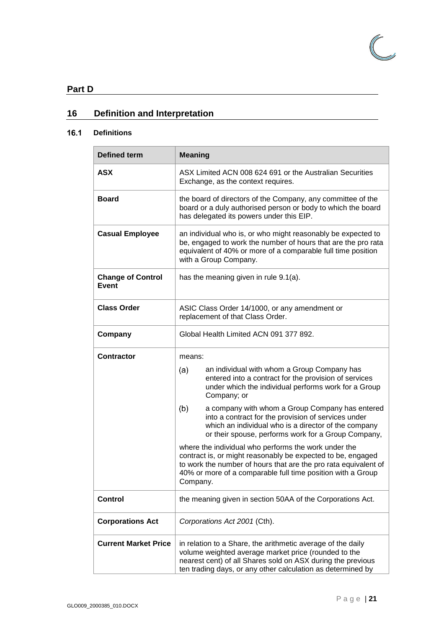

# <span id="page-23-0"></span>**Part D**

# <span id="page-23-1"></span>**16 Definition and Interpretation**

#### <span id="page-23-2"></span> $16.1$ **Definitions**

| <b>Defined term</b>                      | <b>Meaning</b>                                                                                                                                                                                                                                                    |  |  |
|------------------------------------------|-------------------------------------------------------------------------------------------------------------------------------------------------------------------------------------------------------------------------------------------------------------------|--|--|
| <b>ASX</b>                               | ASX Limited ACN 008 624 691 or the Australian Securities<br>Exchange, as the context requires.                                                                                                                                                                    |  |  |
| <b>Board</b>                             | the board of directors of the Company, any committee of the<br>board or a duly authorised person or body to which the board<br>has delegated its powers under this EIP.                                                                                           |  |  |
| <b>Casual Employee</b>                   | an individual who is, or who might reasonably be expected to<br>be, engaged to work the number of hours that are the pro rata<br>equivalent of 40% or more of a comparable full time position<br>with a Group Company.                                            |  |  |
| <b>Change of Control</b><br><b>Event</b> | has the meaning given in rule 9.1(a).                                                                                                                                                                                                                             |  |  |
| <b>Class Order</b>                       | ASIC Class Order 14/1000, or any amendment or<br>replacement of that Class Order.                                                                                                                                                                                 |  |  |
| Company                                  | Global Health Limited ACN 091 377 892.                                                                                                                                                                                                                            |  |  |
| <b>Contractor</b>                        | means:                                                                                                                                                                                                                                                            |  |  |
|                                          | an individual with whom a Group Company has<br>(a)<br>entered into a contract for the provision of services<br>under which the individual performs work for a Group<br>Company; or                                                                                |  |  |
|                                          | (b)<br>a company with whom a Group Company has entered<br>into a contract for the provision of services under<br>which an individual who is a director of the company<br>or their spouse, performs work for a Group Company,                                      |  |  |
|                                          | where the individual who performs the work under the<br>contract is, or might reasonably be expected to be, engaged<br>to work the number of hours that are the pro rata equivalent of<br>40% or more of a comparable full time position with a Group<br>Company. |  |  |
| <b>Control</b>                           | the meaning given in section 50AA of the Corporations Act.                                                                                                                                                                                                        |  |  |
| <b>Corporations Act</b>                  | Corporations Act 2001 (Cth).                                                                                                                                                                                                                                      |  |  |
| <b>Current Market Price</b>              | in relation to a Share, the arithmetic average of the daily<br>volume weighted average market price (rounded to the<br>nearest cent) of all Shares sold on ASX during the previous<br>ten trading days, or any other calculation as determined by                 |  |  |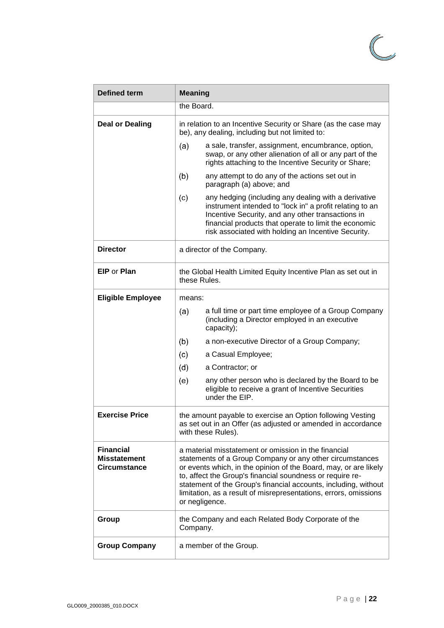

| <b>Defined term</b>                                            | <b>Meaning</b>                                                                                                                                                                                                                                                                                                                                                                                             |  |  |  |
|----------------------------------------------------------------|------------------------------------------------------------------------------------------------------------------------------------------------------------------------------------------------------------------------------------------------------------------------------------------------------------------------------------------------------------------------------------------------------------|--|--|--|
|                                                                | the Board.                                                                                                                                                                                                                                                                                                                                                                                                 |  |  |  |
| <b>Deal or Dealing</b>                                         | in relation to an Incentive Security or Share (as the case may<br>be), any dealing, including but not limited to:                                                                                                                                                                                                                                                                                          |  |  |  |
|                                                                | (a)<br>a sale, transfer, assignment, encumbrance, option,<br>swap, or any other alienation of all or any part of the<br>rights attaching to the Incentive Security or Share;                                                                                                                                                                                                                               |  |  |  |
|                                                                | (b)<br>any attempt to do any of the actions set out in<br>paragraph (a) above; and                                                                                                                                                                                                                                                                                                                         |  |  |  |
|                                                                | any hedging (including any dealing with a derivative<br>(c)<br>instrument intended to "lock in" a profit relating to an<br>Incentive Security, and any other transactions in<br>financial products that operate to limit the economic<br>risk associated with holding an Incentive Security.                                                                                                               |  |  |  |
| <b>Director</b>                                                | a director of the Company.                                                                                                                                                                                                                                                                                                                                                                                 |  |  |  |
| <b>EIP or Plan</b>                                             | the Global Health Limited Equity Incentive Plan as set out in<br>these Rules.                                                                                                                                                                                                                                                                                                                              |  |  |  |
| <b>Eligible Employee</b>                                       | means:                                                                                                                                                                                                                                                                                                                                                                                                     |  |  |  |
|                                                                | a full time or part time employee of a Group Company<br>(a)<br>(including a Director employed in an executive<br>capacity);                                                                                                                                                                                                                                                                                |  |  |  |
|                                                                | (b)<br>a non-executive Director of a Group Company;                                                                                                                                                                                                                                                                                                                                                        |  |  |  |
|                                                                | (c)<br>a Casual Employee;                                                                                                                                                                                                                                                                                                                                                                                  |  |  |  |
|                                                                | (d)<br>a Contractor; or                                                                                                                                                                                                                                                                                                                                                                                    |  |  |  |
|                                                                | (e)<br>any other person who is declared by the Board to be<br>eligible to receive a grant of Incentive Securities<br>under the EIP.                                                                                                                                                                                                                                                                        |  |  |  |
| <b>Exercise Price</b>                                          | the amount payable to exercise an Option following Vesting<br>as set out in an Offer (as adjusted or amended in accordance<br>with these Rules).                                                                                                                                                                                                                                                           |  |  |  |
| <b>Financial</b><br><b>Misstatement</b><br><b>Circumstance</b> | a material misstatement or omission in the financial<br>statements of a Group Company or any other circumstances<br>or events which, in the opinion of the Board, may, or are likely<br>to, affect the Group's financial soundness or require re-<br>statement of the Group's financial accounts, including, without<br>limitation, as a result of misrepresentations, errors, omissions<br>or negligence. |  |  |  |
| Group                                                          | the Company and each Related Body Corporate of the<br>Company.                                                                                                                                                                                                                                                                                                                                             |  |  |  |
| <b>Group Company</b>                                           | a member of the Group.                                                                                                                                                                                                                                                                                                                                                                                     |  |  |  |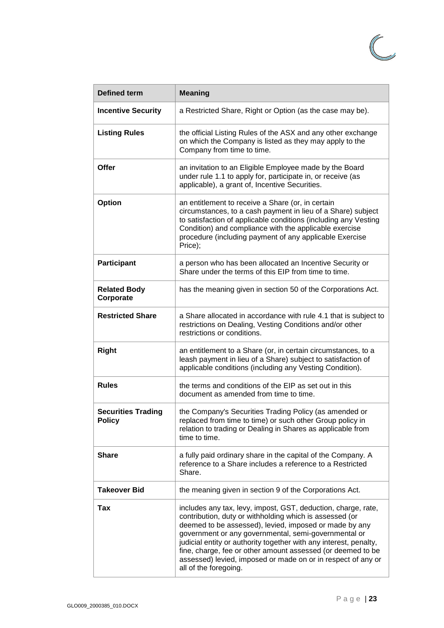

| <b>Defined term</b>                        | <b>Meaning</b>                                                                                                                                                                                                                                                                                                                                                                                                                                                          |  |  |
|--------------------------------------------|-------------------------------------------------------------------------------------------------------------------------------------------------------------------------------------------------------------------------------------------------------------------------------------------------------------------------------------------------------------------------------------------------------------------------------------------------------------------------|--|--|
| <b>Incentive Security</b>                  | a Restricted Share, Right or Option (as the case may be).                                                                                                                                                                                                                                                                                                                                                                                                               |  |  |
| <b>Listing Rules</b>                       | the official Listing Rules of the ASX and any other exchange<br>on which the Company is listed as they may apply to the<br>Company from time to time.                                                                                                                                                                                                                                                                                                                   |  |  |
| Offer                                      | an invitation to an Eligible Employee made by the Board<br>under rule 1.1 to apply for, participate in, or receive (as<br>applicable), a grant of, Incentive Securities.                                                                                                                                                                                                                                                                                                |  |  |
| <b>Option</b>                              | an entitlement to receive a Share (or, in certain<br>circumstances, to a cash payment in lieu of a Share) subject<br>to satisfaction of applicable conditions (including any Vesting<br>Condition) and compliance with the applicable exercise<br>procedure (including payment of any applicable Exercise<br>Price);                                                                                                                                                    |  |  |
| <b>Participant</b>                         | a person who has been allocated an Incentive Security or<br>Share under the terms of this EIP from time to time.                                                                                                                                                                                                                                                                                                                                                        |  |  |
| <b>Related Body</b><br>Corporate           | has the meaning given in section 50 of the Corporations Act.                                                                                                                                                                                                                                                                                                                                                                                                            |  |  |
| <b>Restricted Share</b>                    | a Share allocated in accordance with rule 4.1 that is subject to<br>restrictions on Dealing, Vesting Conditions and/or other<br>restrictions or conditions.                                                                                                                                                                                                                                                                                                             |  |  |
| <b>Right</b>                               | an entitlement to a Share (or, in certain circumstances, to a<br>leash payment in lieu of a Share) subject to satisfaction of<br>applicable conditions (including any Vesting Condition).                                                                                                                                                                                                                                                                               |  |  |
| <b>Rules</b>                               | the terms and conditions of the EIP as set out in this<br>document as amended from time to time.                                                                                                                                                                                                                                                                                                                                                                        |  |  |
| <b>Securities Trading</b><br><b>Policy</b> | the Company's Securities Trading Policy (as amended or<br>replaced from time to time) or such other Group policy in<br>relation to trading or Dealing in Shares as applicable from<br>time to time.                                                                                                                                                                                                                                                                     |  |  |
| <b>Share</b>                               | a fully paid ordinary share in the capital of the Company. A<br>reference to a Share includes a reference to a Restricted<br>Share.                                                                                                                                                                                                                                                                                                                                     |  |  |
| <b>Takeover Bid</b>                        | the meaning given in section 9 of the Corporations Act.                                                                                                                                                                                                                                                                                                                                                                                                                 |  |  |
| Tax                                        | includes any tax, levy, impost, GST, deduction, charge, rate,<br>contribution, duty or withholding which is assessed (or<br>deemed to be assessed), levied, imposed or made by any<br>government or any governmental, semi-governmental or<br>judicial entity or authority together with any interest, penalty,<br>fine, charge, fee or other amount assessed (or deemed to be<br>assessed) levied, imposed or made on or in respect of any or<br>all of the foregoing. |  |  |